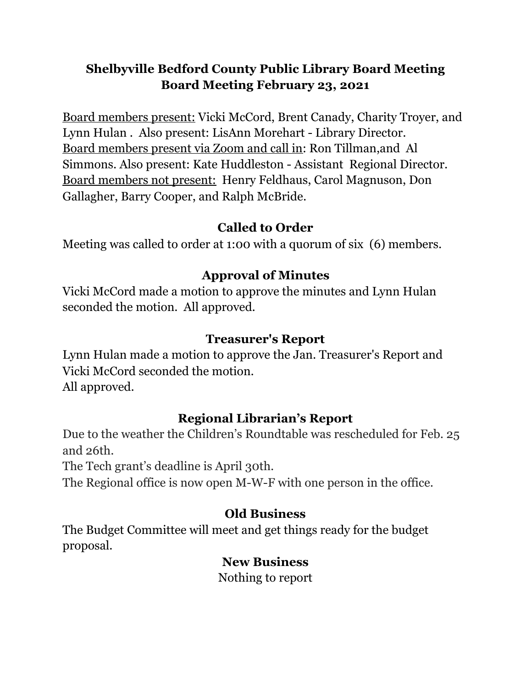# **Shelbyville Bedford County Public Library Board Meeting Board Meeting February 23, 2021**

Board members present: Vicki McCord, Brent Canady, Charity Troyer, and Lynn Hulan . Also present: LisAnn Morehart - Library Director. Board members present via Zoom and call in: Ron Tillman,and Al Simmons. Also present: Kate Huddleston - Assistant Regional Director. Board members not present: Henry Feldhaus, Carol Magnuson, Don Gallagher, Barry Cooper, and Ralph McBride.

### **Called to Order**

Meeting was called to order at 1:00 with a quorum of six (6) members.

## **Approval of Minutes**

Vicki McCord made a motion to approve the minutes and Lynn Hulan seconded the motion. All approved.

### **Treasurer's Report**

Lynn Hulan made a motion to approve the Jan. Treasurer's Report and Vicki McCord seconded the motion. All approved.

## **Regional Librarian's Report**

Due to the weather the Children's Roundtable was rescheduled for Feb. 25 and 26th.

The Tech grant's deadline is April 30th.

The Regional office is now open M-W-F with one person in the office.

## **Old Business**

The Budget Committee will meet and get things ready for the budget proposal.

#### **New Business**

Nothing to report